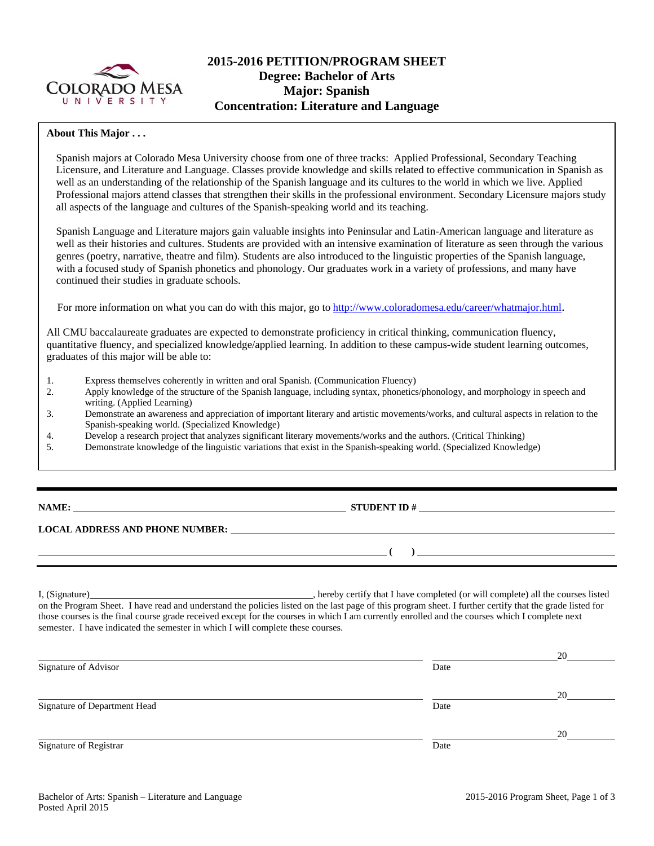

# **2015-2016 PETITION/PROGRAM SHEET Degree: Bachelor of Arts Major: Spanish Concentration: Literature and Language**

## **About This Major . . .**

Spanish majors at Colorado Mesa University choose from one of three tracks: Applied Professional, Secondary Teaching Licensure, and Literature and Language. Classes provide knowledge and skills related to effective communication in Spanish as well as an understanding of the relationship of the Spanish language and its cultures to the world in which we live. Applied Professional majors attend classes that strengthen their skills in the professional environment. Secondary Licensure majors study all aspects of the language and cultures of the Spanish-speaking world and its teaching.

Spanish Language and Literature majors gain valuable insights into Peninsular and Latin-American language and literature as well as their histories and cultures. Students are provided with an intensive examination of literature as seen through the various genres (poetry, narrative, theatre and film). Students are also introduced to the linguistic properties of the Spanish language, with a focused study of Spanish phonetics and phonology. Our graduates work in a variety of professions, and many have continued their studies in graduate schools.

For more information on what you can do with this major, go to http://www.coloradomesa.edu/career/whatmajor.html.

All CMU baccalaureate graduates are expected to demonstrate proficiency in critical thinking, communication fluency, quantitative fluency, and specialized knowledge/applied learning. In addition to these campus-wide student learning outcomes, graduates of this major will be able to:

- 1. Express themselves coherently in written and oral Spanish. (Communication Fluency)
- 2. Apply knowledge of the structure of the Spanish language, including syntax, phonetics/phonology, and morphology in speech and writing. (Applied Learning)
- 3. Demonstrate an awareness and appreciation of important literary and artistic movements/works, and cultural aspects in relation to the Spanish-speaking world. (Specialized Knowledge)
- 4. Develop a research project that analyzes significant literary movements/works and the authors. (Critical Thinking)
- 5. Demonstrate knowledge of the linguistic variations that exist in the Spanish-speaking world. (Specialized Knowledge)

# **STUDENT ID #**

 **(** )

#### **LOCAL ADDRESS AND PHONE NUMBER:**

I, (Signature) , hereby certify that I have completed (or will complete) all the courses listed on the Program Sheet. I have read and understand the policies listed on the last page of this program sheet. I further certify that the grade listed for those courses is the final course grade received except for the courses in which I am currently enrolled and the courses which I complete next semester. I have indicated the semester in which I will complete these courses.

|                              |      | 20 |
|------------------------------|------|----|
| Signature of Advisor         | Date |    |
|                              |      | 20 |
| Signature of Department Head | Date |    |
|                              |      | 20 |
| Signature of Registrar       | Date |    |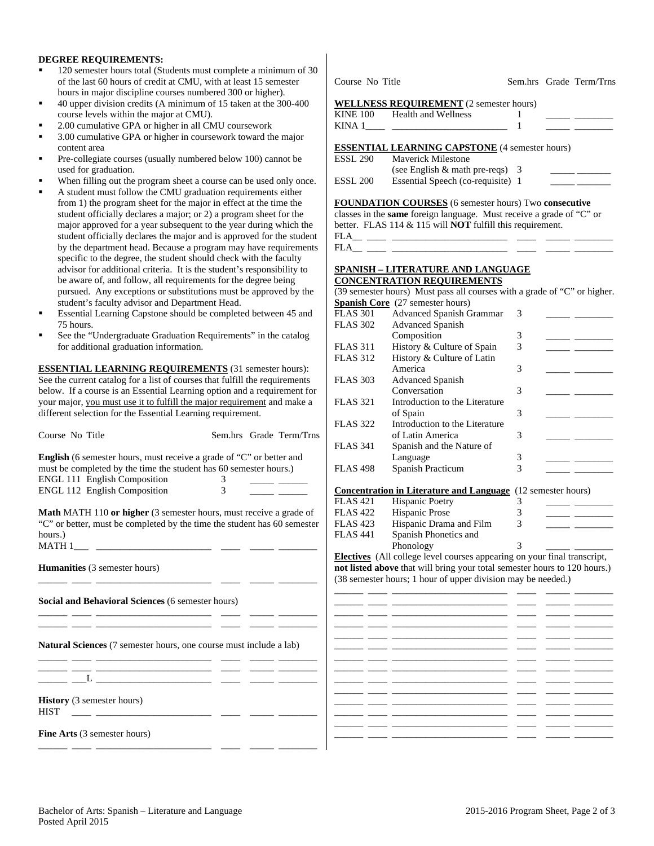### **DEGREE REQUIREMENTS:**

- 120 semester hours total (Students must complete a minimum of 30 of the last 60 hours of credit at CMU, with at least 15 semester hours in major discipline courses numbered 300 or higher).
- 40 upper division credits (A minimum of 15 taken at the 300-400 course levels within the major at CMU).
- 2.00 cumulative GPA or higher in all CMU coursework
- 3.00 cumulative GPA or higher in coursework toward the major content area
- Pre-collegiate courses (usually numbered below 100) cannot be used for graduation.
- When filling out the program sheet a course can be used only once.
- A student must follow the CMU graduation requirements either from 1) the program sheet for the major in effect at the time the student officially declares a major; or 2) a program sheet for the major approved for a year subsequent to the year during which the student officially declares the major and is approved for the student by the department head. Because a program may have requirements specific to the degree, the student should check with the faculty advisor for additional criteria. It is the student's responsibility to be aware of, and follow, all requirements for the degree being pursued. Any exceptions or substitutions must be approved by the student's faculty advisor and Department Head.
- Essential Learning Capstone should be completed between 45 and 75 hours.
- See the "Undergraduate Graduation Requirements" in the catalog for additional graduation information.

**ESSENTIAL LEARNING REQUIREMENTS** (31 semester hours): See the current catalog for a list of courses that fulfill the requirements below. If a course is an Essential Learning option and a requirement for your major, you must use it to fulfill the major requirement and make a different selection for the Essential Learning requirement.

| Course No Title                                                             | Sem.hrs Grade Term/Trns                                                                                              |                                                         |
|-----------------------------------------------------------------------------|----------------------------------------------------------------------------------------------------------------------|---------------------------------------------------------|
|                                                                             |                                                                                                                      | <b>FLAS 341</b>                                         |
| <b>English</b> (6 semester hours, must receive a grade of "C" or better and |                                                                                                                      |                                                         |
| must be completed by the time the student has 60 semester hours.)           |                                                                                                                      | <b>FLAS 498</b>                                         |
| ENGL 111 English Composition                                                | $\overline{3}$                                                                                                       |                                                         |
| ENGL 112 English Composition                                                | $\overline{3}$<br><u>and the state of the state</u>                                                                  | Concentration                                           |
|                                                                             |                                                                                                                      | FLAS 421                                                |
|                                                                             | Math MATH 110 or higher (3 semester hours, must receive a grade of                                                   | <b>FLAS 422</b>                                         |
|                                                                             | "C" or better, must be completed by the time the student has 60 semester                                             | <b>FLAS 423</b>                                         |
| hours.)                                                                     |                                                                                                                      | <b>FLAS 441</b>                                         |
|                                                                             |                                                                                                                      |                                                         |
|                                                                             |                                                                                                                      | <b>Electives</b> (All                                   |
| <b>Humanities</b> (3 semester hours)                                        |                                                                                                                      | not listed abov                                         |
|                                                                             | <u> 2000 - 2000 - 2000 - 2000 - 2000 - 2000 - 2000 - 2000 - 2000 - 2000 - 2000 - 2000 - 2000 - 2000 - 2000 - 200</u> | (38 semester ho                                         |
|                                                                             |                                                                                                                      |                                                         |
| Social and Behavioral Sciences (6 semester hours)                           |                                                                                                                      |                                                         |
|                                                                             |                                                                                                                      |                                                         |
|                                                                             |                                                                                                                      |                                                         |
|                                                                             |                                                                                                                      |                                                         |
| Natural Sciences (7 semester hours, one course must include a lab)          |                                                                                                                      | <u> 1989 - John Harry Barnett, amerikansk fotballst</u> |
|                                                                             |                                                                                                                      | <u> The Common State Common</u>                         |
|                                                                             |                                                                                                                      |                                                         |
|                                                                             |                                                                                                                      |                                                         |
|                                                                             |                                                                                                                      | <u> The Common School and The Common School and</u>     |
| <b>History</b> (3 semester hours)                                           |                                                                                                                      |                                                         |
| <b>HIST</b>                                                                 |                                                                                                                      |                                                         |
|                                                                             |                                                                                                                      | <u> The Common School (1989)</u>                        |
| Fine Arts (3 semester hours)                                                |                                                                                                                      |                                                         |
|                                                                             |                                                                                                                      |                                                         |
|                                                                             |                                                                                                                      |                                                         |

|          | <b>WELLNESS REQUIREMENT</b> (2 semester hours) |  |
|----------|------------------------------------------------|--|
| LINE 100 | Hoolth and Wallnoss                            |  |

| <b>KINE 100</b> | Health and Wellness                                   |  |
|-----------------|-------------------------------------------------------|--|
| KINA 1          |                                                       |  |
|                 |                                                       |  |
|                 | <b>ESSENTIAL LEARNING CAPSTONE</b> (4 semester hours) |  |
|                 |                                                       |  |
| ESSL 290        | <b>Maverick Milestone</b>                             |  |
|                 | (see English $&$ math pre-reqs) 3                     |  |

Course No Title Sem.hrs Grade Term/Trns

**FOUNDATION COURSES** (6 semester hours) Two **consecutive** classes in the **same** foreign language. Must receive a grade of "C" or better. FLAS 114 & 115 will **NOT** fulfill this requirement.

 $FLA$ <sub>\_\_\_</sub> \_\_\_\_\_\_ \_\_\_  $FLA$ 

#### **SPANISH – LITERATURE AND LANGUAGE CONCENTRATION REQUIREMENTS**

(39 semester hours) Must pass all courses with a grade of "C" or higher. **Spanish Core** (27 semester hours)

| <b>FLAS 301</b> | <b>Advanced Spanish Grammar</b> | 3 |  |
|-----------------|---------------------------------|---|--|
| <b>FLAS 302</b> | <b>Advanced Spanish</b>         |   |  |
|                 | Composition                     | 3 |  |
| <b>FLAS</b> 311 | History & Culture of Spain      | 3 |  |
| <b>FLAS 312</b> | History & Culture of Latin      |   |  |
|                 | America                         | 3 |  |
| <b>FLAS 303</b> | <b>Advanced Spanish</b>         |   |  |
|                 | Conversation                    | 3 |  |
| <b>FLAS</b> 321 | Introduction to the Literature  |   |  |
|                 | of Spain                        | 3 |  |
| <b>FLAS 322</b> | Introduction to the Literature  |   |  |
|                 | of Latin America                | 3 |  |
| <b>FLAS</b> 341 | Spanish and the Nature of       |   |  |
|                 | Language                        | 3 |  |
| <b>FLAS 498</b> | Spanish Practicum               | 3 |  |
|                 |                                 |   |  |

#### **in Literature and Language** (12 semester hours)

| <b>FLAS</b> 421 | <b>Hispanic Poetry</b>  |   |  |
|-----------------|-------------------------|---|--|
| <b>FLAS</b> 422 | Hispanic Prose          |   |  |
| <b>FLAS</b> 423 | Hispanic Drama and Film | 3 |  |
| <b>FLAS</b> 441 | Spanish Phonetics and   |   |  |
|                 | Phonology               |   |  |
|                 |                         |   |  |

college level courses appearing on your final transcript, **re** that will bring your total semester hours to 120 hours.) ours; 1 hour of upper division may be needed.)

|                          |                                | − |
|--------------------------|--------------------------------|---|
| -                        | $\overline{\phantom{0}}$       |   |
| $\overline{\phantom{a}}$ | -                              |   |
| $\overline{\phantom{0}}$ |                                |   |
| $\overline{\phantom{0}}$ | $\overbrace{\hspace{25mm}}^{}$ |   |
|                          |                                |   |
| $\overline{\phantom{0}}$ |                                |   |
|                          | __                             |   |
|                          | $\overline{\phantom{0}}$       |   |
|                          | $\overline{\phantom{a}}$       |   |
|                          | $\overline{\phantom{a}}$       |   |
|                          |                                |   |
|                          |                                |   |
|                          |                                |   |